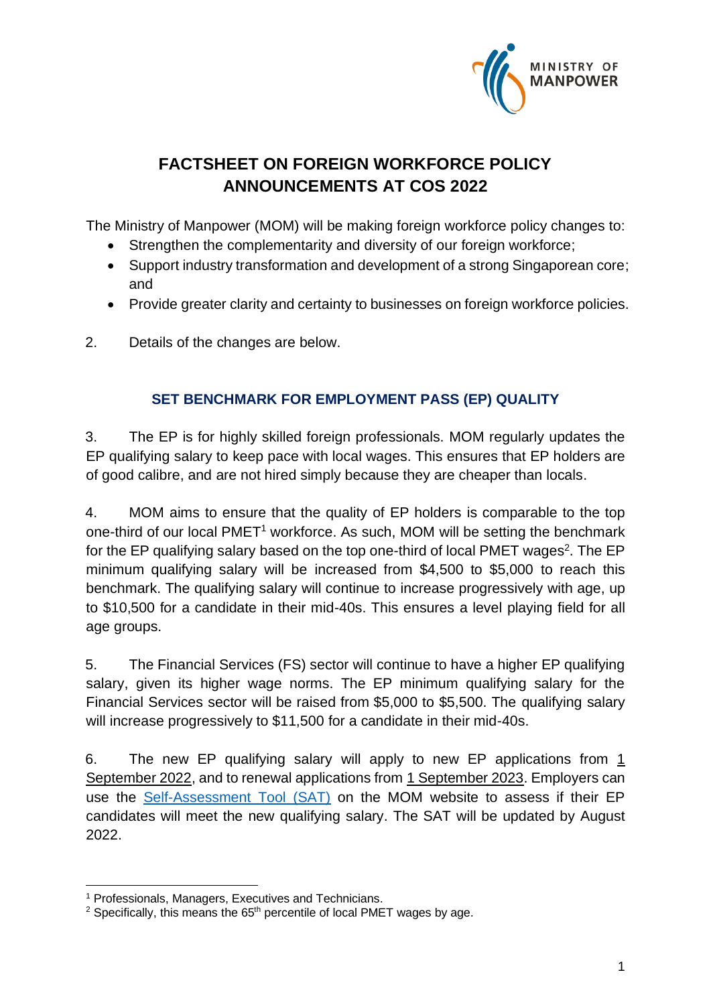

# **FACTSHEET ON FOREIGN WORKFORCE POLICY ANNOUNCEMENTS AT COS 2022**

The Ministry of Manpower (MOM) will be making foreign workforce policy changes to:

- Strengthen the complementarity and diversity of our foreign workforce;
- Support industry transformation and development of a strong Singaporean core; and
- Provide greater clarity and certainty to businesses on foreign workforce policies.
- 2. Details of the changes are below.

# **SET BENCHMARK FOR EMPLOYMENT PASS (EP) QUALITY**

3. The EP is for highly skilled foreign professionals. MOM regularly updates the EP qualifying salary to keep pace with local wages. This ensures that EP holders are of good calibre, and are not hired simply because they are cheaper than locals.

4. MOM aims to ensure that the quality of EP holders is comparable to the top one-third of our local PMET<sup>1</sup> workforce. As such, MOM will be setting the benchmark for the EP qualifying salary based on the top one-third of local PMET wages<sup>2</sup>. The EP minimum qualifying salary will be increased from \$4,500 to \$5,000 to reach this benchmark. The qualifying salary will continue to increase progressively with age, up to \$10,500 for a candidate in their mid-40s. This ensures a level playing field for all age groups.

5. The Financial Services (FS) sector will continue to have a higher EP qualifying salary, given its higher wage norms. The EP minimum qualifying salary for the Financial Services sector will be raised from \$5,000 to \$5,500. The qualifying salary will increase progressively to \$11,500 for a candidate in their mid-40s.

6. The new EP qualifying salary will apply to new EP applications from 1 September 2022, and to renewal applications from 1 September 2023. Employers can use the [Self-Assessment Tool \(SAT\)](http://www.go.gov.sg/mom-sat) on the MOM website to assess if their EP candidates will meet the new qualifying salary. The SAT will be updated by August 2022.

<sup>1</sup> Professionals, Managers, Executives and Technicians.

<sup>&</sup>lt;sup>2</sup> Specifically, this means the 65<sup>th</sup> percentile of local PMET wages by age.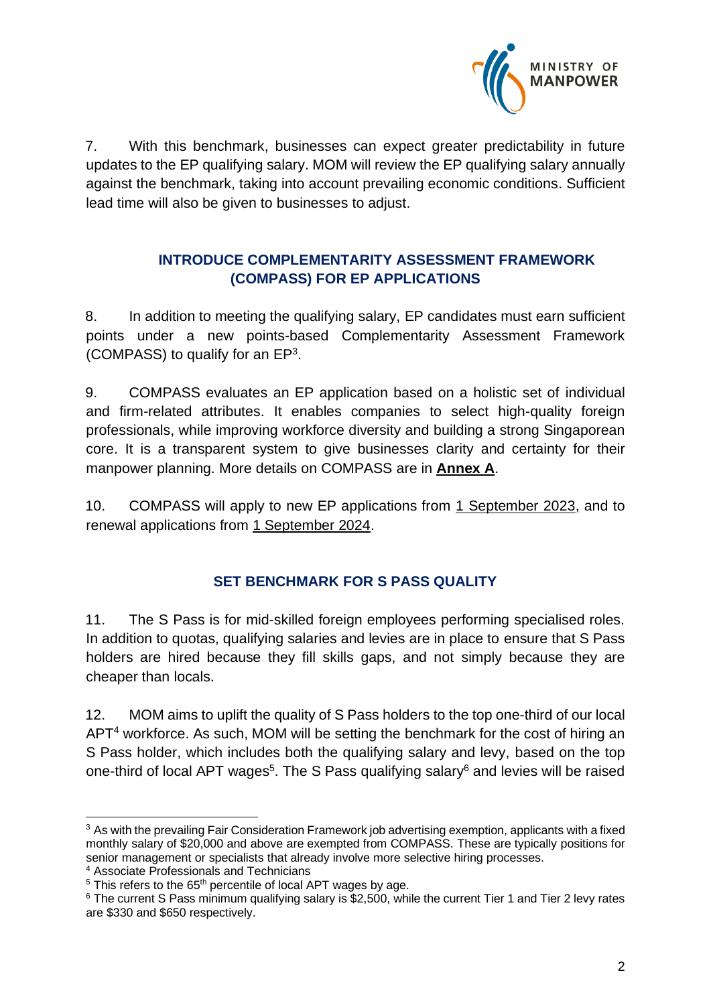

7. With this benchmark, businesses can expect greater predictability in future updates to the EP qualifying salary. MOM will review the EP qualifying salary annually against the benchmark, taking into account prevailing economic conditions. Sufficient lead time will also be given to businesses to adjust.

## **INTRODUCE COMPLEMENTARITY ASSESSMENT FRAMEWORK (COMPASS) FOR EP APPLICATIONS**

8. In addition to meeting the qualifying salary, EP candidates must earn sufficient points under a new points-based Complementarity Assessment Framework (COMPASS) to qualify for an  $EP<sup>3</sup>$ .

9. COMPASS evaluates an EP application based on a holistic set of individual and firm-related attributes. It enables companies to select high-quality foreign professionals, while improving workforce diversity and building a strong Singaporean core. It is a transparent system to give businesses clarity and certainty for their manpower planning. More details on COMPASS are in **Annex A**.

10. COMPASS will apply to new EP applications from 1 September 2023, and to renewal applications from 1 September 2024.

## **SET BENCHMARK FOR S PASS QUALITY**

11. The S Pass is for mid-skilled foreign employees performing specialised roles. In addition to quotas, qualifying salaries and levies are in place to ensure that S Pass holders are hired because they fill skills gaps, and not simply because they are cheaper than locals.

12. MOM aims to uplift the quality of S Pass holders to the top one-third of our local APT<sup>4</sup> workforce. As such, MOM will be setting the benchmark for the cost of hiring an S Pass holder, which includes both the qualifying salary and levy, based on the top one-third of local APT wages<sup>5</sup>. The S Pass qualifying salary<sup>6</sup> and levies will be raised

<sup>&</sup>lt;sup>3</sup> As with the prevailing Fair Consideration Framework job advertising exemption, applicants with a fixed monthly salary of \$20,000 and above are exempted from COMPASS. These are typically positions for senior management or specialists that already involve more selective hiring processes.

<sup>4</sup> Associate Professionals and Technicians

<sup>&</sup>lt;sup>5</sup> This refers to the 65<sup>th</sup> percentile of local APT wages by age.

<sup>&</sup>lt;sup>6</sup> The current S Pass minimum qualifying salary is \$2,500, while the current Tier 1 and Tier 2 levy rates are \$330 and \$650 respectively.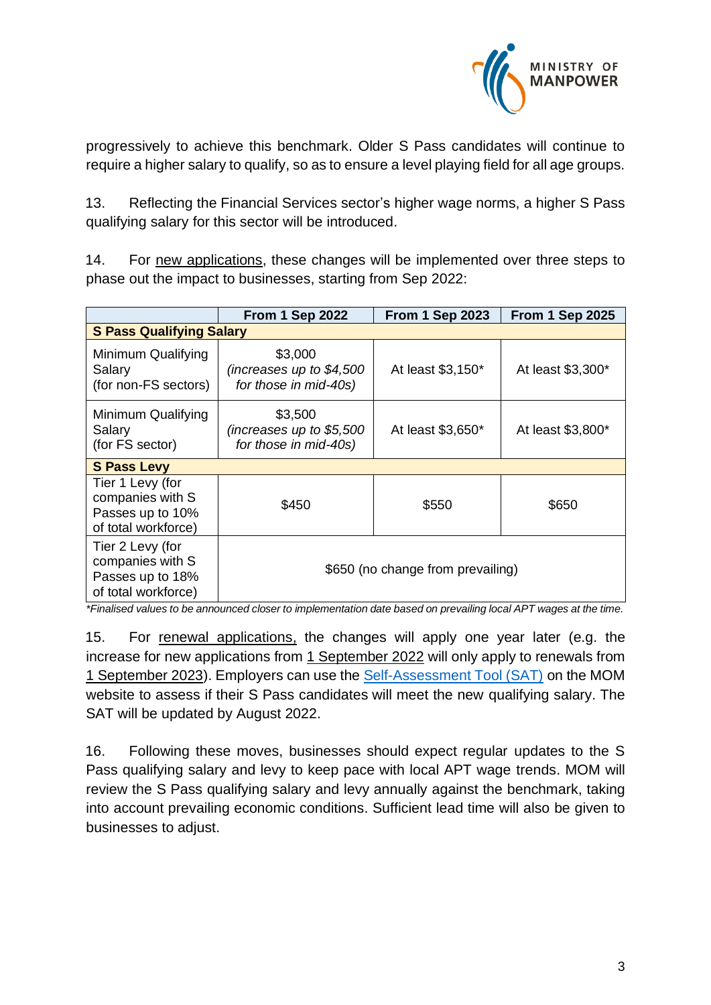

progressively to achieve this benchmark. Older S Pass candidates will continue to require a higher salary to qualify, so as to ensure a level playing field for all age groups.

13. Reflecting the Financial Services sector's higher wage norms, a higher S Pass qualifying salary for this sector will be introduced.

14. For new applications, these changes will be implemented over three steps to phase out the impact to businesses, starting from Sep 2022:

|                                                                                 | <b>From 1 Sep 2022</b>                                        | <b>From 1 Sep 2023</b> | <b>From 1 Sep 2025</b> |  |  |  |
|---------------------------------------------------------------------------------|---------------------------------------------------------------|------------------------|------------------------|--|--|--|
| <b>S Pass Qualifying Salary</b>                                                 |                                                               |                        |                        |  |  |  |
| Minimum Qualifying<br>Salary<br>(for non-FS sectors)                            | \$3,000<br>(increases up to $$4,500$<br>for those in mid-40s) | At least \$3,150*      | At least \$3,300*      |  |  |  |
| Minimum Qualifying<br>Salary<br>(for FS sector)                                 | \$3,500<br>(increases up to $$5,500$<br>for those in mid-40s) | At least \$3,650*      | At least \$3,800*      |  |  |  |
| <b>S Pass Levy</b>                                                              |                                                               |                        |                        |  |  |  |
| Tier 1 Levy (for<br>companies with S<br>Passes up to 10%<br>of total workforce) | \$450                                                         | \$550                  | \$650                  |  |  |  |
| Tier 2 Levy (for<br>companies with S<br>Passes up to 18%<br>of total workforce) | \$650 (no change from prevailing)                             |                        |                        |  |  |  |

*\*Finalised values to be announced closer to implementation date based on prevailing local APT wages at the time.*

15. For renewal applications, the changes will apply one year later (e.g. the increase for new applications from 1 September 2022 will only apply to renewals from 1 September 2023). Employers can use the [Self-Assessment Tool \(SAT\)](http://www.go.gov.sg/mom-sat) on the MOM website to assess if their S Pass candidates will meet the new qualifying salary. The SAT will be updated by August 2022.

16. Following these moves, businesses should expect regular updates to the S Pass qualifying salary and levy to keep pace with local APT wage trends. MOM will review the S Pass qualifying salary and levy annually against the benchmark, taking into account prevailing economic conditions. Sufficient lead time will also be given to businesses to adjust.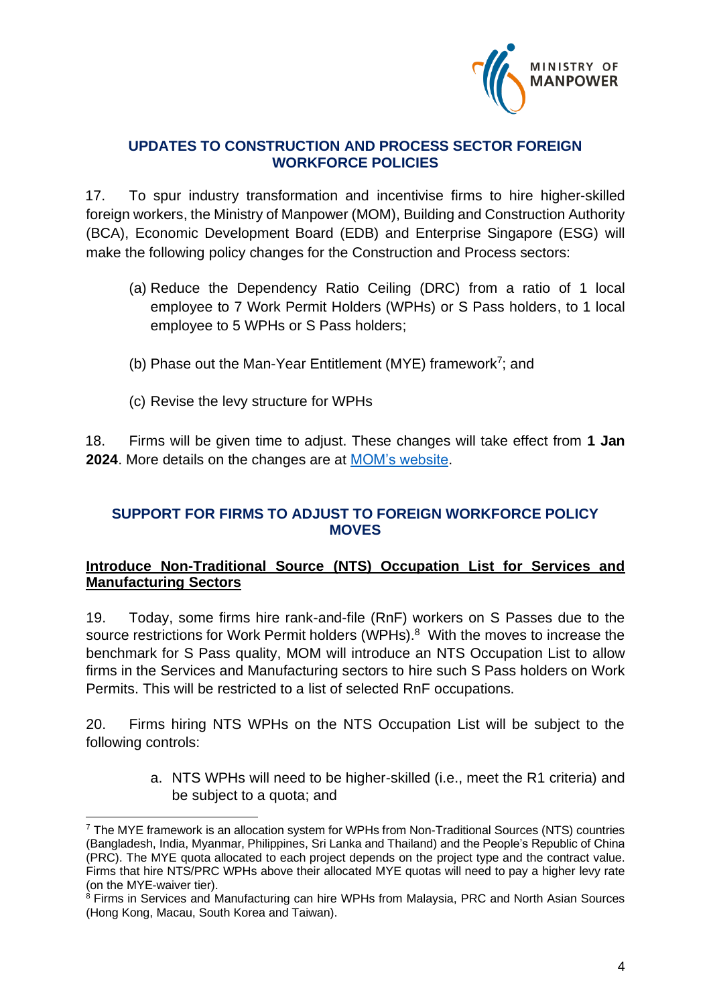

#### **UPDATES TO CONSTRUCTION AND PROCESS SECTOR FOREIGN WORKFORCE POLICIES**

17. To spur industry transformation and incentivise firms to hire higher-skilled foreign workers, the Ministry of Manpower (MOM), Building and Construction Authority (BCA), Economic Development Board (EDB) and Enterprise Singapore (ESG) will make the following policy changes for the Construction and Process sectors:

- (a) Reduce the Dependency Ratio Ceiling (DRC) from a ratio of 1 local employee to 7 Work Permit Holders (WPHs) or S Pass holders, to 1 local employee to 5 WPHs or S Pass holders;
- (b) Phase out the Man-Year Entitlement (MYE) framework<sup>7</sup>; and
- (c) Revise the levy structure for WPHs

18. Firms will be given time to adjust. These changes will take effect from **1 Jan 2024**. More details on the changes are at [MOM's website.](https://www.mom.gov.sg/newsroom/press-releases/2022/0218-supporting-transformation-in-the-process-and-construction-sectors)

#### **SUPPORT FOR FIRMS TO ADJUST TO FOREIGN WORKFORCE POLICY MOVES**

#### **Introduce Non-Traditional Source (NTS) Occupation List for Services and Manufacturing Sectors**

19. Today, some firms hire rank-and-file (RnF) workers on S Passes due to the source restrictions for Work Permit holders (WPHs).<sup>8</sup> With the moves to increase the benchmark for S Pass quality, MOM will introduce an NTS Occupation List to allow firms in the Services and Manufacturing sectors to hire such S Pass holders on Work Permits. This will be restricted to a list of selected RnF occupations.

20. Firms hiring NTS WPHs on the NTS Occupation List will be subject to the following controls:

> a. NTS WPHs will need to be higher-skilled (i.e., meet the R1 criteria) and be subject to a quota; and

 $7$  The MYE framework is an allocation system for WPHs from Non-Traditional Sources (NTS) countries (Bangladesh, India, Myanmar, Philippines, Sri Lanka and Thailand) and the People's Republic of China (PRC). The MYE quota allocated to each project depends on the project type and the contract value. Firms that hire NTS/PRC WPHs above their allocated MYE quotas will need to pay a higher levy rate (on the MYE-waiver tier).

<sup>&</sup>lt;sup>8</sup> Firms in Services and Manufacturing can hire WPHs from Malaysia, PRC and North Asian Sources (Hong Kong, Macau, South Korea and Taiwan).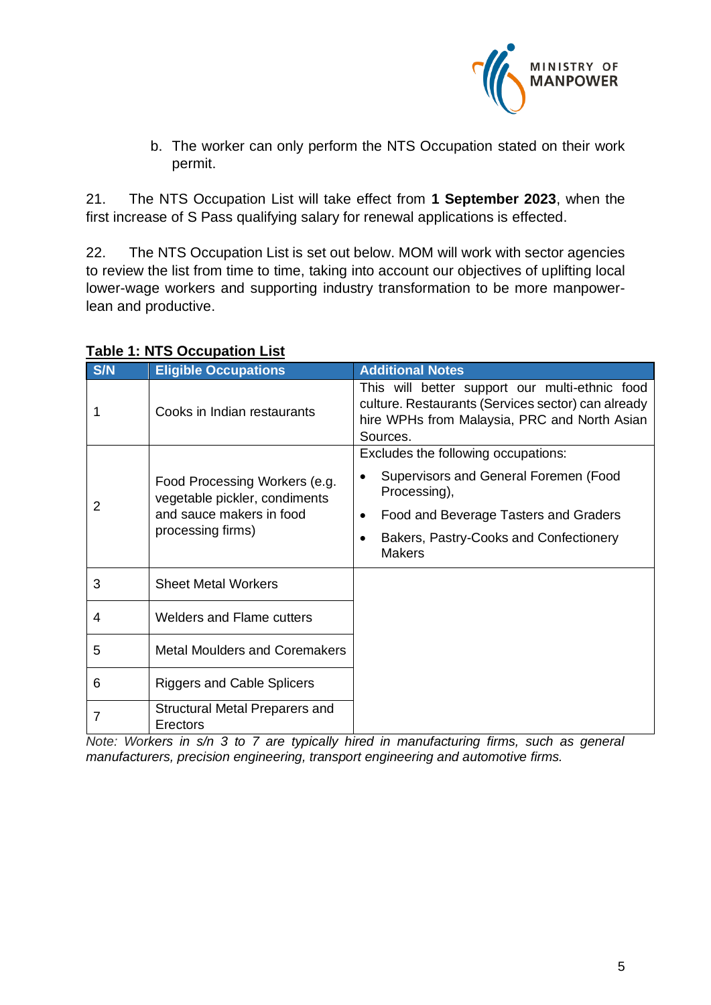

b. The worker can only perform the NTS Occupation stated on their work permit.

21. The NTS Occupation List will take effect from **1 September 2023**, when the first increase of S Pass qualifying salary for renewal applications is effected.

22. The NTS Occupation List is set out below. MOM will work with sector agencies to review the list from time to time, taking into account our objectives of uplifting local lower-wage workers and supporting industry transformation to be more manpowerlean and productive.

| S/N | <b>Eligible Occupations</b>                                                                                     | <b>Additional Notes</b>                                                                                                                                          |
|-----|-----------------------------------------------------------------------------------------------------------------|------------------------------------------------------------------------------------------------------------------------------------------------------------------|
|     | Cooks in Indian restaurants                                                                                     | This will better support our multi-ethnic food<br>culture. Restaurants (Services sector) can already<br>hire WPHs from Malaysia, PRC and North Asian<br>Sources. |
| 2   |                                                                                                                 | Excludes the following occupations:                                                                                                                              |
|     | Food Processing Workers (e.g.<br>vegetable pickler, condiments<br>and sauce makers in food<br>processing firms) | Supervisors and General Foremen (Food<br>$\bullet$<br>Processing),                                                                                               |
|     |                                                                                                                 | Food and Beverage Tasters and Graders<br>$\bullet$                                                                                                               |
|     |                                                                                                                 | Bakers, Pastry-Cooks and Confectionery<br>$\bullet$<br><b>Makers</b>                                                                                             |
| 3   | <b>Sheet Metal Workers</b>                                                                                      |                                                                                                                                                                  |
| 4   | <b>Welders and Flame cutters</b>                                                                                |                                                                                                                                                                  |
| 5   | <b>Metal Moulders and Coremakers</b>                                                                            |                                                                                                                                                                  |
| 6   | <b>Riggers and Cable Splicers</b>                                                                               |                                                                                                                                                                  |
| 7   | Structural Metal Preparers and<br>Erectors                                                                      |                                                                                                                                                                  |

#### **Table 1: NTS Occupation List**

*Note: Workers in s/n 3 to 7 are typically hired in manufacturing firms, such as general manufacturers, precision engineering, transport engineering and automotive firms.*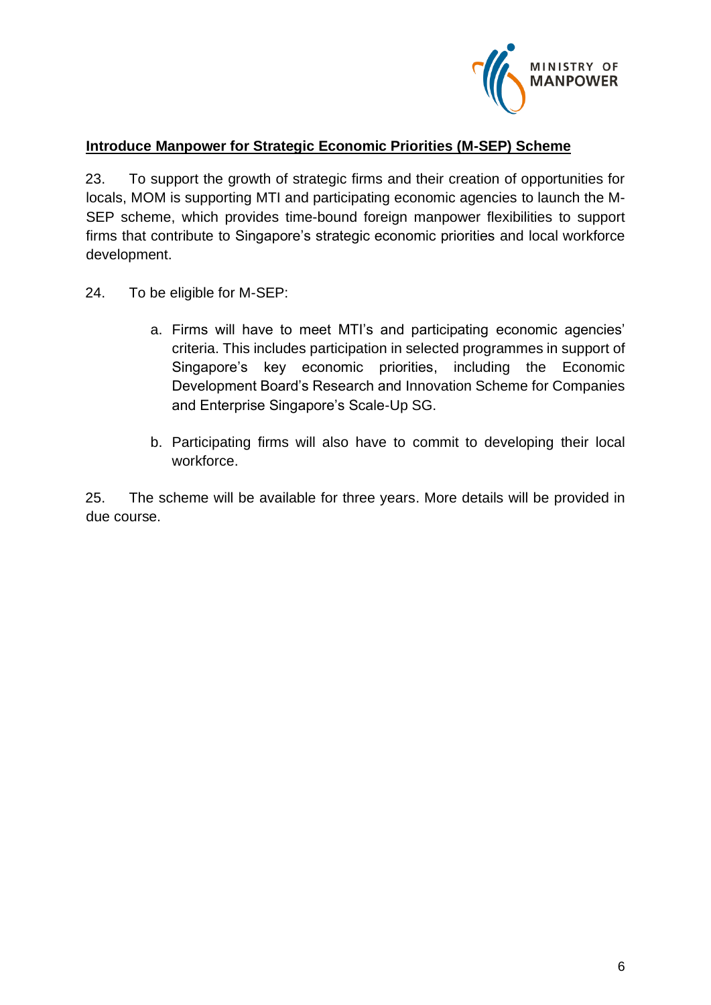

#### **Introduce Manpower for Strategic Economic Priorities (M-SEP) Scheme**

23. To support the growth of strategic firms and their creation of opportunities for locals, MOM is supporting MTI and participating economic agencies to launch the M-SEP scheme, which provides time-bound foreign manpower flexibilities to support firms that contribute to Singapore's strategic economic priorities and local workforce development.

24. To be eligible for M-SEP:

- a. Firms will have to meet MTI's and participating economic agencies' criteria. This includes participation in selected programmes in support of Singapore's key economic priorities, including the Economic Development Board's Research and Innovation Scheme for Companies and Enterprise Singapore's Scale-Up SG.
- b. Participating firms will also have to commit to developing their local workforce.

25. The scheme will be available for three years. More details will be provided in due course.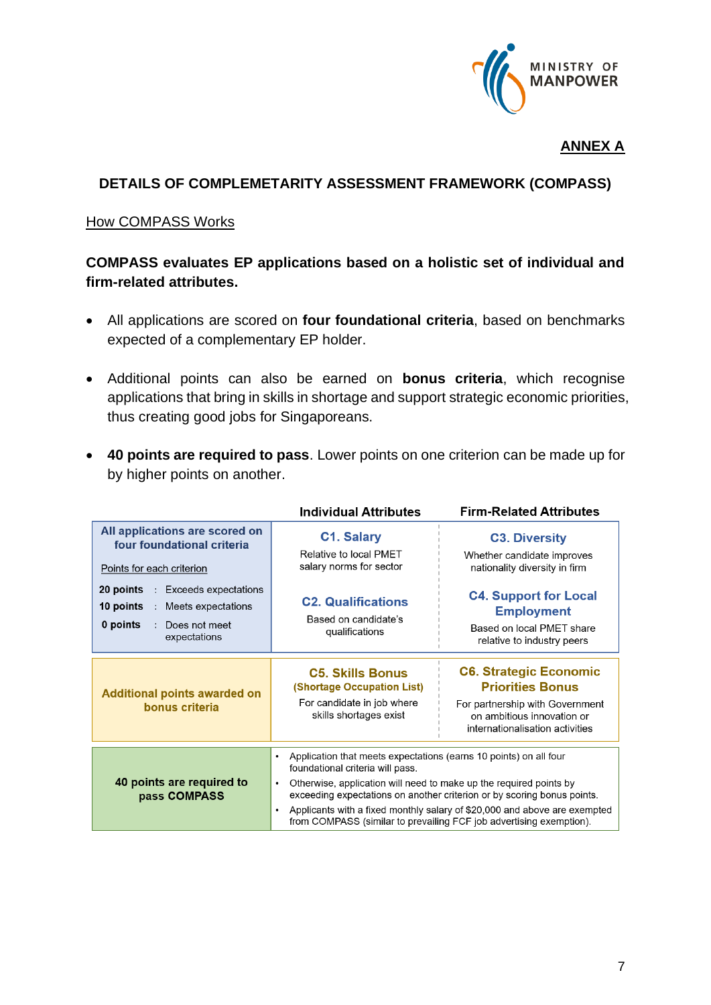

#### **ANNEX A**

#### **DETAILS OF COMPLEMETARITY ASSESSMENT FRAMEWORK (COMPASS)**

#### How COMPASS Works

#### **COMPASS evaluates EP applications based on a holistic set of individual and firm-related attributes.**

- All applications are scored on **four foundational criteria**, based on benchmarks expected of a complementary EP holder.
- Additional points can also be earned on **bonus criteria**, which recognise applications that bring in skills in shortage and support strategic economic priorities, thus creating good jobs for Singaporeans.
- **40 points are required to pass**. Lower points on one criterion can be made up for by higher points on another.

|                                                                                                                                 | <b>Individual Attributes</b>                                                                                                                                                                                                                                                                                                                                                                                                                      | <b>Firm-Related Attributes</b>                                                                                                                               |  |
|---------------------------------------------------------------------------------------------------------------------------------|---------------------------------------------------------------------------------------------------------------------------------------------------------------------------------------------------------------------------------------------------------------------------------------------------------------------------------------------------------------------------------------------------------------------------------------------------|--------------------------------------------------------------------------------------------------------------------------------------------------------------|--|
| All applications are scored on<br>four foundational criteria<br>Points for each criterion                                       | <b>C1. Salary</b><br>Relative to local PMET<br>salary norms for sector                                                                                                                                                                                                                                                                                                                                                                            | <b>C3. Diversity</b><br>Whether candidate improves<br>nationality diversity in firm                                                                          |  |
| <b>Exceeds expectations</b><br>20 points<br>÷<br>10 points<br>: Meets expectations<br>0 points<br>Does not meet<br>expectations | <b>C2. Qualifications</b><br>Based on candidate's<br>qualifications                                                                                                                                                                                                                                                                                                                                                                               | <b>C4. Support for Local</b><br><b>Employment</b><br>Based on local PMET share<br>relative to industry peers                                                 |  |
| <b>Additional points awarded on</b><br>bonus criteria                                                                           | <b>C5. Skills Bonus</b><br><b>(Shortage Occupation List)</b><br>For candidate in job where<br>skills shortages exist                                                                                                                                                                                                                                                                                                                              | <b>C6. Strategic Economic</b><br><b>Priorities Bonus</b><br>For partnership with Government<br>on ambitious innovation or<br>internationalisation activities |  |
| 40 points are required to<br>pass COMPASS                                                                                       | Application that meets expectations (earns 10 points) on all four<br>$\bullet$<br>foundational criteria will pass.<br>Otherwise, application will need to make up the required points by<br>$\bullet$<br>exceeding expectations on another criterion or by scoring bonus points.<br>Applicants with a fixed monthly salary of \$20,000 and above are exempted<br>$\bullet$<br>from COMPASS (similar to prevailing FCF job advertising exemption). |                                                                                                                                                              |  |